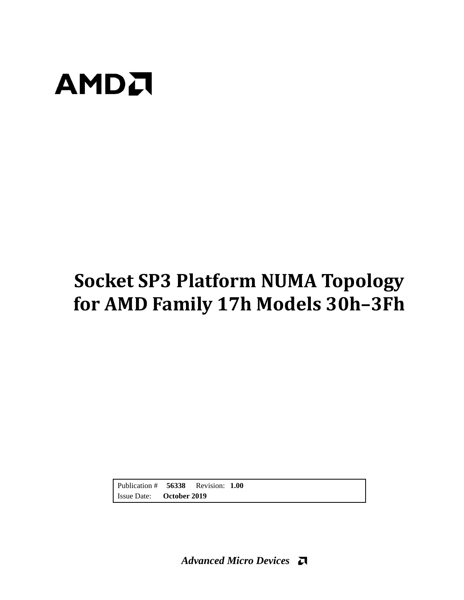

# **Socket SP3 Platform NUMA Topology for AMD Family 17h Models 30h–3Fh**

Publication # **56338** Revision: **1.00** Issue Date: **October 2019**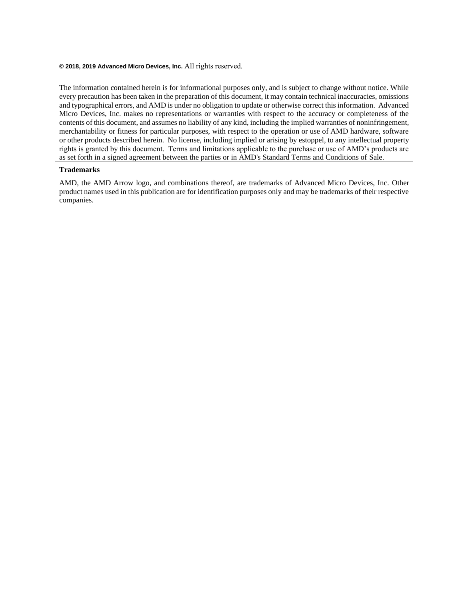#### **© 2018, 2019 Advanced Micro Devices, Inc.** All rights reserved.

The information contained herein is for informational purposes only, and is subject to change without notice. While every precaution has been taken in the preparation of this document, it may contain technical inaccuracies, omissions and typographical errors, and AMD is under no obligation to update or otherwise correct this information. Advanced Micro Devices, Inc. makes no representations or warranties with respect to the accuracy or completeness of the contents of this document, and assumes no liability of any kind, including the implied warranties of noninfringement, merchantability or fitness for particular purposes, with respect to the operation or use of AMD hardware, software or other products described herein. No license, including implied or arising by estoppel, to any intellectual property rights is granted by this document. Terms and limitations applicable to the purchase or use of AMD's products are as set forth in a signed agreement between the parties or in AMD's Standard Terms and Conditions of Sale.

#### **Trademarks**

AMD, the AMD Arrow logo, and combinations thereof, are trademarks of Advanced Micro Devices, Inc. Other product names used in this publication are for identification purposes only and may be trademarks of their respective companies.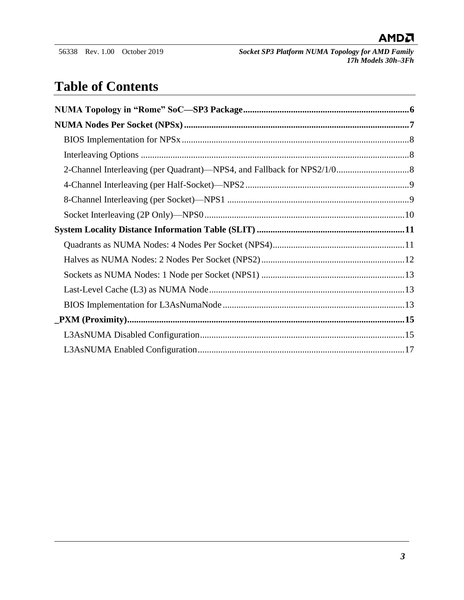## **Table of Contents**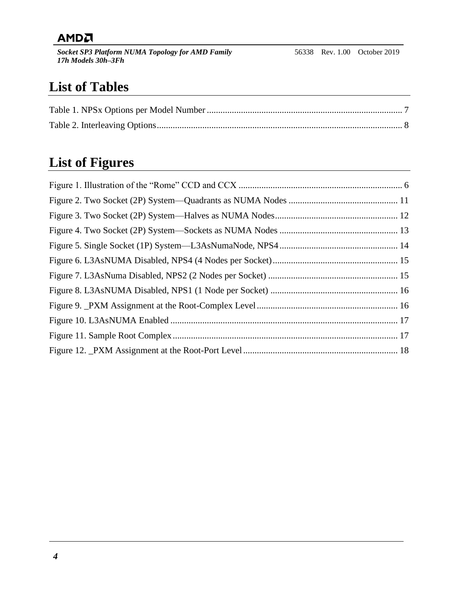*Socket SP3 Platform NUMA Topology for AMD Family 17h Models 30h–3Fh*

## **List of Tables**

## **List of Figures**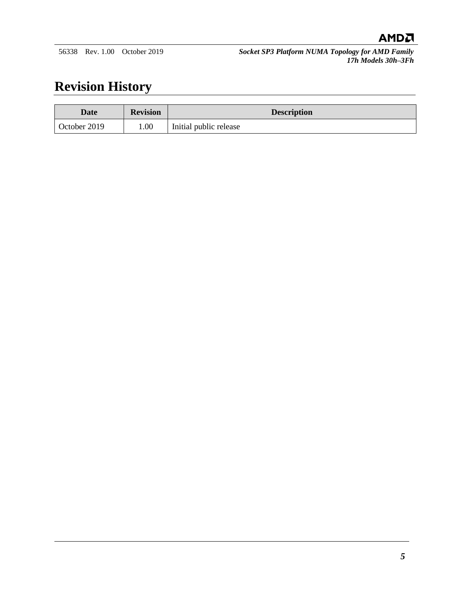## **Revision History**

| Date         | <b>Revision</b> | <b>Description</b>     |
|--------------|-----------------|------------------------|
| October 2019 | 00.1            | Initial public release |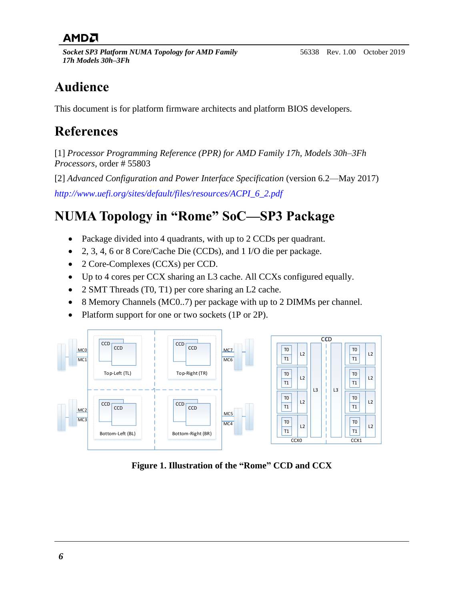*Socket SP3 Platform NUMA Topology for AMD Family 17h Models 30h–3Fh*

## **Audience**

This document is for platform firmware architects and platform BIOS developers.

## **References**

[1] *Processor Programming Reference (PPR) for AMD Family 17h, Models 30h–3Fh Processors*, order # 55803

[2] *Advanced Configuration and Power Interface Specification* (version 6.2—May 2017) *[http://www.uefi.org/sites/default/files/resources/ACPI\\_6\\_2.pdf](http://www.uefi.org/sites/default/files/resources/ACPI_6_2.pdf)*

# <span id="page-5-0"></span>**NUMA Topology in "Rome" SoC—SP3 Package**

- Package divided into 4 quadrants, with up to 2 CCDs per quadrant.
- 2, 3, 4, 6 or 8 Core/Cache Die (CCDs), and 1 I/O die per package.
- 2 Core-Complexes (CCXs) per CCD.
- Up to 4 cores per CCX sharing an L3 cache. All CCXs configured equally.
- 2 SMT Threads (T0, T1) per core sharing an L2 cache.
- 8 Memory Channels (MC0..7) per package with up to 2 DIMMs per channel.
- Platform support for one or two sockets (1P or 2P).



<span id="page-5-1"></span>**Figure 1. Illustration of the "Rome" CCD and CCX**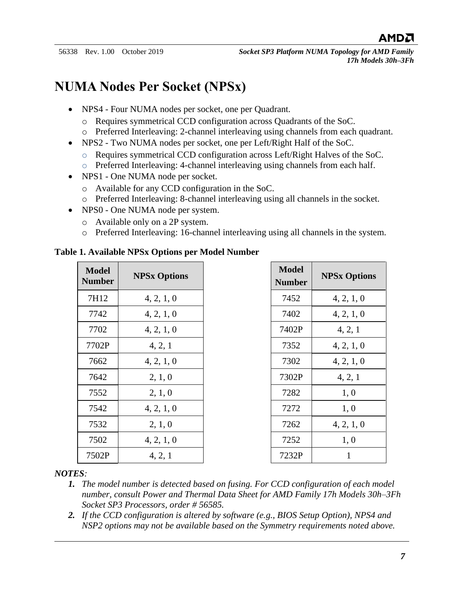## <span id="page-6-0"></span>**NUMA Nodes Per Socket (NPSx)**

- NPS4 Four NUMA nodes per socket, one per Quadrant.
	- o Requires symmetrical CCD configuration across Quadrants of the SoC.
	- o Preferred Interleaving: 2-channel interleaving using channels from each quadrant.
- NPS2 Two NUMA nodes per socket, one per Left/Right Half of the SoC.
	- o Requires symmetrical CCD configuration across Left/Right Halves of the SoC.
	- o Preferred Interleaving: 4-channel interleaving using channels from each half.
- NPS1 One NUMA node per socket.
	- o Available for any CCD configuration in the SoC.
	- o Preferred Interleaving: 8-channel interleaving using all channels in the socket.
- NPS0 One NUMA node per system.
	- o Available only on a 2P system.
	- o Preferred Interleaving: 16-channel interleaving using all channels in the system.

<span id="page-6-1"></span>

| <b>Model</b><br><b>Number</b> | <b>NPSx Options</b> | <b>Model</b><br><b>Number</b> | <b>NPSx Option</b> |
|-------------------------------|---------------------|-------------------------------|--------------------|
| 7H12                          | 4, 2, 1, 0          | 7452                          | 4, 2, 1, 0         |
| 7742                          | 4, 2, 1, 0          | 7402                          | 4, 2, 1, 0         |
| 7702                          | 4, 2, 1, 0          | 7402P                         | 4, 2, 1            |
| 7702P                         | 4, 2, 1             | 7352                          | 4, 2, 1, 0         |
| 7662                          | 4, 2, 1, 0          | 7302                          | 4, 2, 1, 0         |
| 7642                          | 2, 1, 0             | 7302P                         | 4, 2, 1            |
| 7552                          | 2, 1, 0             | 7282                          | 1,0                |
| 7542                          | 4, 2, 1, 0          | 7272                          | 1, 0               |
| 7532                          | 2, 1, 0             | 7262                          | 4, 2, 1, 0         |
| 7502                          | 4, 2, 1, 0          | 7252                          | 1, 0               |
| 7502P                         | 4, 2, 1             | 7232P                         | 1                  |

| Model<br><b>Number</b> | <b>NPSx Options</b> |
|------------------------|---------------------|
| 7452                   | 4, 2, 1, 0          |
| 7402                   | 4, 2, 1, 0          |
| 7402P                  | 4, 2, 1             |
| 7352                   | 4, 2, 1, 0          |
| 7302                   | 4, 2, 1, 0          |
| 7302P                  | 4, 2, 1             |
| 7282                   | 1,0                 |
| 7272                   | 1,0                 |
| 7262                   | 4, 2, 1, 0          |
| 7252                   | 1, 0                |
| 7232P                  | 1                   |

#### *NOTES:*

- *1. The model number is detected based on fusing. For CCD configuration of each model number, consult Power and Thermal Data Sheet for AMD Family 17h Models 30h–3Fh Socket SP3 Processors, order # 56585.*
- *2. If the CCD configuration is altered by software (e.g., BIOS Setup Option), NPS4 and NSP2 options may not be available based on the Symmetry requirements noted above.*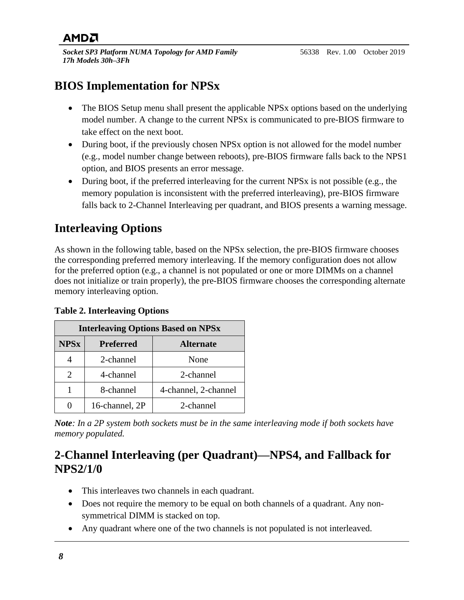## <span id="page-7-0"></span>**BIOS Implementation for NPSx**

- The BIOS Setup menu shall present the applicable NPS<sub>x</sub> options based on the underlying model number. A change to the current NPSx is communicated to pre-BIOS firmware to take effect on the next boot.
- During boot, if the previously chosen NPSx option is not allowed for the model number (e.g., model number change between reboots), pre-BIOS firmware falls back to the NPS1 option, and BIOS presents an error message.
- During boot, if the preferred interleaving for the current NPSx is not possible (e.g., the memory population is inconsistent with the preferred interleaving), pre-BIOS firmware falls back to 2-Channel Interleaving per quadrant, and BIOS presents a warning message.

## <span id="page-7-1"></span>**Interleaving Options**

As shown in the following table, based on the NPSx selection, the pre-BIOS firmware chooses the corresponding preferred memory interleaving. If the memory configuration does not allow for the preferred option (e.g., a channel is not populated or one or more DIMMs on a channel does not initialize or train properly), the pre-BIOS firmware chooses the corresponding alternate memory interleaving option.

| <b>Interleaving Options Based on NPSx</b> |                                      |                      |  |  |  |  |  |  |  |  |
|-------------------------------------------|--------------------------------------|----------------------|--|--|--|--|--|--|--|--|
| <b>NPSx</b>                               | <b>Preferred</b><br><b>Alternate</b> |                      |  |  |  |  |  |  |  |  |
|                                           | 2-channel                            | None                 |  |  |  |  |  |  |  |  |
| 2                                         | 4-channel                            | 2-channel            |  |  |  |  |  |  |  |  |
|                                           | 8-channel                            | 4-channel, 2-channel |  |  |  |  |  |  |  |  |
|                                           | 16-channel, 2P                       | 2-channel            |  |  |  |  |  |  |  |  |

<span id="page-7-3"></span>**Table 2. Interleaving Options**

*Note: In a 2P system both sockets must be in the same interleaving mode if both sockets have memory populated.*

#### <span id="page-7-2"></span>**2-Channel Interleaving (per Quadrant)—NPS4, and Fallback for NPS2/1/0**

- This interleaves two channels in each quadrant.
- Does not require the memory to be equal on both channels of a quadrant. Any nonsymmetrical DIMM is stacked on top.
- Any quadrant where one of the two channels is not populated is not interleaved.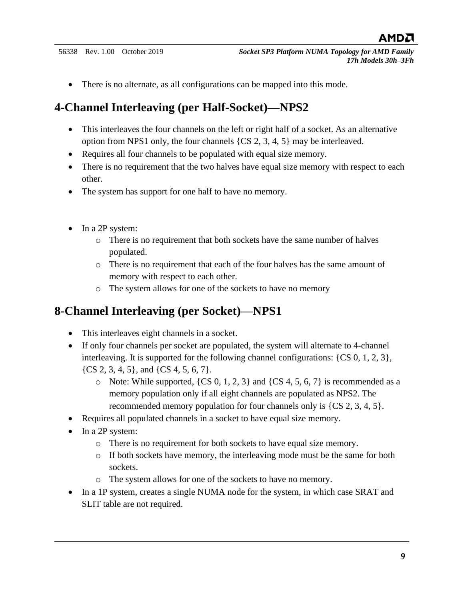• There is no alternate, as all configurations can be mapped into this mode.

#### <span id="page-8-0"></span>**4-Channel Interleaving (per Half-Socket)—NPS2**

- This interleaves the four channels on the left or right half of a socket. As an alternative option from NPS1 only, the four channels {CS 2, 3, 4, 5} may be interleaved.
- Requires all four channels to be populated with equal size memory.
- There is no requirement that the two halves have equal size memory with respect to each other.
- The system has support for one half to have no memory.
- In a 2P system:
	- o There is no requirement that both sockets have the same number of halves populated.
	- o There is no requirement that each of the four halves has the same amount of memory with respect to each other.
	- o The system allows for one of the sockets to have no memory

#### <span id="page-8-1"></span>**8-Channel Interleaving (per Socket)—NPS1**

- This interleaves eight channels in a socket.
- If only four channels per socket are populated, the system will alternate to 4-channel interleaving. It is supported for the following channel configurations: {CS 0, 1, 2, 3},  $\{CS\,2, 3, 4, 5\}$ , and  $\{CS\,4, 5, 6, 7\}$ .
	- $\circ$  Note: While supported, {CS 0, 1, 2, 3} and {CS 4, 5, 6, 7} is recommended as a memory population only if all eight channels are populated as NPS2. The recommended memory population for four channels only is {CS 2, 3, 4, 5}.
- Requires all populated channels in a socket to have equal size memory.
- In a 2P system:
	- o There is no requirement for both sockets to have equal size memory.
	- o If both sockets have memory, the interleaving mode must be the same for both sockets.
	- o The system allows for one of the sockets to have no memory.
- In a 1P system, creates a single NUMA node for the system, in which case SRAT and SLIT table are not required.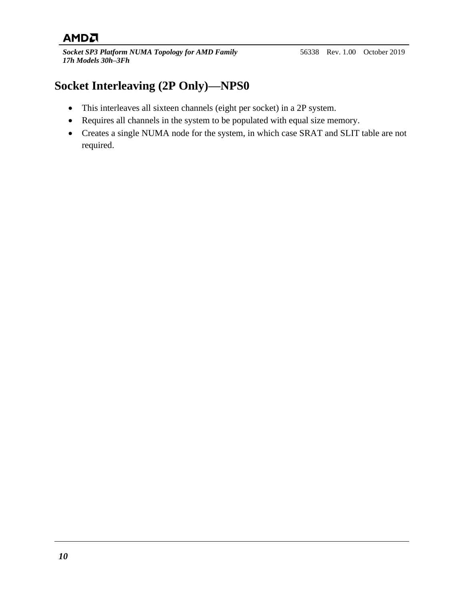*Socket SP3 Platform NUMA Topology for AMD Family 17h Models 30h–3Fh*

## <span id="page-9-0"></span>**Socket Interleaving (2P Only)—NPS0**

- This interleaves all sixteen channels (eight per socket) in a 2P system.
- Requires all channels in the system to be populated with equal size memory.
- Creates a single NUMA node for the system, in which case SRAT and SLIT table are not required.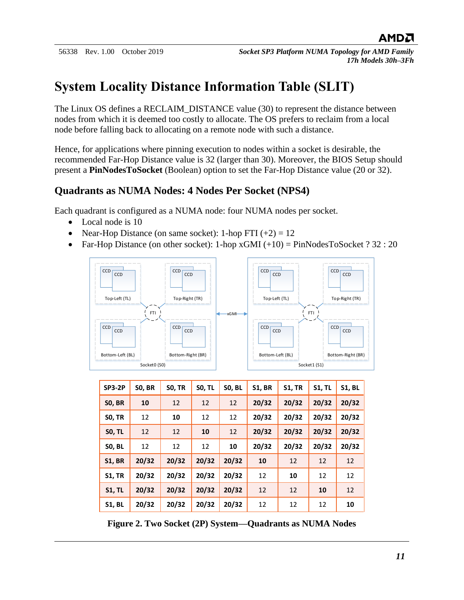## <span id="page-10-0"></span>**System Locality Distance Information Table (SLIT)**

The Linux OS defines a RECLAIM\_DISTANCE value (30) to represent the distance between nodes from which it is deemed too costly to allocate. The OS prefers to reclaim from a local node before falling back to allocating on a remote node with such a distance.

Hence, for applications where pinning execution to nodes within a socket is desirable, the recommended Far-Hop Distance value is 32 (larger than 30). Moreover, the BIOS Setup should present a **PinNodesToSocket** (Boolean) option to set the Far-Hop Distance value (20 or 32).

#### <span id="page-10-1"></span>**Quadrants as NUMA Nodes: 4 Nodes Per Socket (NPS4)**

Each quadrant is configured as a NUMA node: four NUMA nodes per socket.

- Local node is 10
- Near-Hop Distance (on same socket): 1-hop FTI  $(+2) = 12$
- Far-Hop Distance (on other socket): 1-hop  $xGMI (+10) = PinNodesToSocket ? 32 : 20$



| <b>SP3-2P</b> | <b>SO, BR</b> | <b>SO, TR</b> | <b>SO, TL</b> | <b>SO, BL</b> | <b>S1, BR</b> | <b>S1, TR</b> | <b>S1, TL</b> | <b>S1, BL</b> |
|---------------|---------------|---------------|---------------|---------------|---------------|---------------|---------------|---------------|
| <b>SO, BR</b> | 10            | 12            | 12            | 12            | 20/32         | 20/32         | 20/32         | 20/32         |
| <b>SO, TR</b> | 12            | 10            | 12            | 12            | 20/32         | 20/32         | 20/32         | 20/32         |
| <b>SO, TL</b> | 12            | 12            | 10            | 12            | 20/32         | 20/32         | 20/32         | 20/32         |
| <b>SO, BL</b> | 12            | 12            | 12            | 10            | 20/32         | 20/32         | 20/32         | 20/32         |
| <b>S1, BR</b> | 20/32         | 20/32         | 20/32         | 20/32         | 10            | 12            | 12            | 12            |
| <b>S1, TR</b> | 20/32         | 20/32         | 20/32         | 20/32         | 12            | 10            | 12            | 12            |
| <b>S1, TL</b> | 20/32         | 20/32         | 20/32         | 20/32         | 12            | 12            | 10            | 12            |
| <b>S1, BL</b> | 20/32         | 20/32         | 20/32         | 20/32         | 12            | 12            | 12            | 10            |

<span id="page-10-2"></span>**Figure 2. Two Socket (2P) System—Quadrants as NUMA Nodes**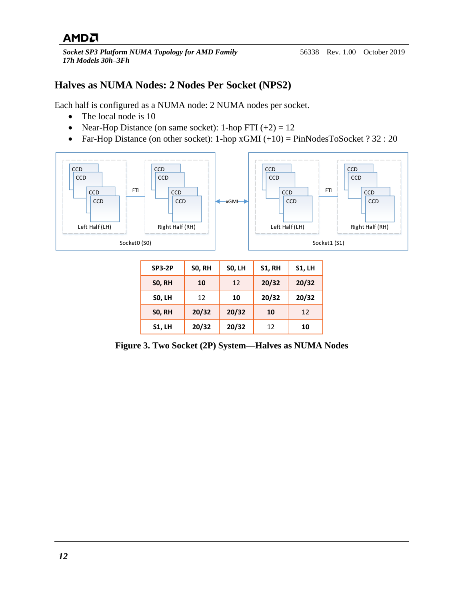*Socket SP3 Platform NUMA Topology for AMD Family 17h Models 30h–3Fh*

#### <span id="page-11-0"></span>**Halves as NUMA Nodes: 2 Nodes Per Socket (NPS2)**

Each half is configured as a NUMA node: 2 NUMA nodes per socket.

- The local node is 10
- Near-Hop Distance (on same socket): 1-hop FTI  $(+2) = 12$
- Far-Hop Distance (on other socket): 1-hop  $xGMI (+10) = PinNodesToSocket ? 32 : 20$



| <b>SP3-2P</b> | <b>SO, RH</b> | SO, LH | <b>S1, RH</b> | <b>S1, LH</b> |
|---------------|---------------|--------|---------------|---------------|
| <b>SO, RH</b> | 10            | 12     | 20/32         | 20/32         |
| <b>SO, LH</b> | 12            | 10     | 20/32         | 20/32         |
| <b>SO, RH</b> | 20/32         | 20/32  | 10            | 12            |
| <b>S1, LH</b> | 20/32         | 20/32  | 12            | 10            |

<span id="page-11-1"></span>**Figure 3. Two Socket (2P) System—Halves as NUMA Nodes**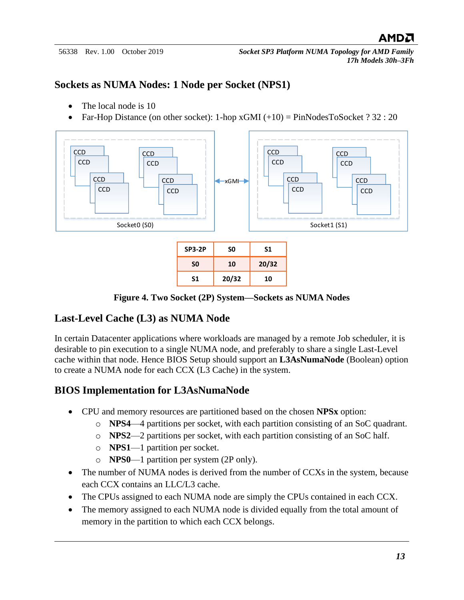#### <span id="page-12-0"></span>**Sockets as NUMA Nodes: 1 Node per Socket (NPS1)**

- The local node is 10
- Far-Hop Distance (on other socket):  $1$ -hop xGMI  $(+10)$  = PinNodesToSocket ? 32 : 20



**Figure 4. Two Socket (2P) System—Sockets as NUMA Nodes**

#### <span id="page-12-3"></span><span id="page-12-1"></span>**Last-Level Cache (L3) as NUMA Node**

In certain Datacenter applications where workloads are managed by a remote Job scheduler, it is desirable to pin execution to a single NUMA node, and preferably to share a single Last-Level cache within that node. Hence BIOS Setup should support an **L3AsNumaNode** (Boolean) option to create a NUMA node for each CCX (L3 Cache) in the system.

#### <span id="page-12-2"></span>**BIOS Implementation for L3AsNumaNode**

- CPU and memory resources are partitioned based on the chosen **NPSx** option:
	- o **NPS4**—4 partitions per socket, with each partition consisting of an SoC quadrant.
	- o **NPS2**—2 partitions per socket, with each partition consisting of an SoC half.
	- o **NPS1**—1 partition per socket.
	- o **NPS0**—1 partition per system (2P only).
- The number of NUMA nodes is derived from the number of CCXs in the system, because each CCX contains an LLC/L3 cache.
- The CPUs assigned to each NUMA node are simply the CPUs contained in each CCX.
- The memory assigned to each NUMA node is divided equally from the total amount of memory in the partition to which each CCX belongs.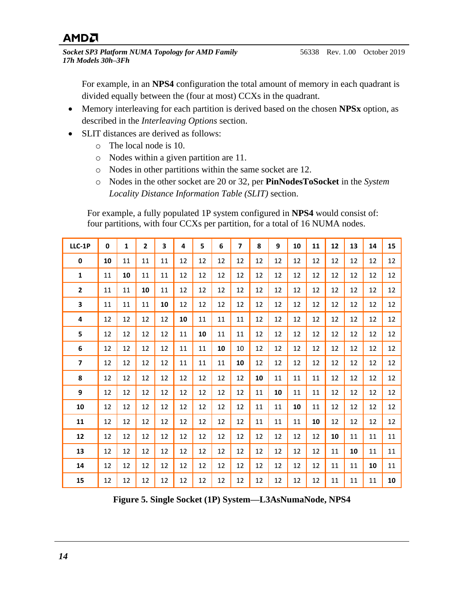*Socket SP3 Platform NUMA Topology for AMD Family 17h Models 30h–3Fh*

For example, in an **NPS4** configuration the total amount of memory in each quadrant is divided equally between the (four at most) CCXs in the quadrant.

- Memory interleaving for each partition is derived based on the chosen **NPSx** option, as described in the *[Interleaving Options](#page-7-1)* section.
- SLIT distances are derived as follows:
	- o The local node is 10.
	- o Nodes within a given partition are 11.
	- o Nodes in other partitions within the same socket are 12.
	- o Nodes in the other socket are 20 or 32, per **PinNodesToSocket** in the *[System](#page-10-0)  [Locality Distance Information Table \(SLIT\)](#page-10-0)* section.

For example, a fully populated 1P system configured in **NPS4** would consist of: four partitions, with four CCXs per partition, for a total of 16 NUMA nodes.

| LLC-1P         | $\mathbf{0}$ | $\mathbf{1}$ | $\overline{2}$ | 3  | 4  | 5  | 6  | $\overline{\phantom{a}}$ | 8  | 9  | 10 | 11 | 12 | 13 | 14 | 15 |
|----------------|--------------|--------------|----------------|----|----|----|----|--------------------------|----|----|----|----|----|----|----|----|
| $\mathbf 0$    | 10           | 11           | 11             | 11 | 12 | 12 | 12 | 12                       | 12 | 12 | 12 | 12 | 12 | 12 | 12 | 12 |
| $\mathbf{1}$   | 11           | 10           | 11             | 11 | 12 | 12 | 12 | 12                       | 12 | 12 | 12 | 12 | 12 | 12 | 12 | 12 |
| $\overline{2}$ | 11           | 11           | 10             | 11 | 12 | 12 | 12 | 12                       | 12 | 12 | 12 | 12 | 12 | 12 | 12 | 12 |
| 3              | 11           | 11           | 11             | 10 | 12 | 12 | 12 | 12                       | 12 | 12 | 12 | 12 | 12 | 12 | 12 | 12 |
| 4              | 12           | 12           | 12             | 12 | 10 | 11 | 11 | 11                       | 12 | 12 | 12 | 12 | 12 | 12 | 12 | 12 |
| 5              | 12           | 12           | 12             | 12 | 11 | 10 | 11 | 11                       | 12 | 12 | 12 | 12 | 12 | 12 | 12 | 12 |
| 6              | 12           | 12           | 12             | 12 | 11 | 11 | 10 | 10                       | 12 | 12 | 12 | 12 | 12 | 12 | 12 | 12 |
| $\overline{7}$ | 12           | 12           | 12             | 12 | 11 | 11 | 11 | 10                       | 12 | 12 | 12 | 12 | 12 | 12 | 12 | 12 |
| 8              | 12           | 12           | 12             | 12 | 12 | 12 | 12 | 12                       | 10 | 11 | 11 | 11 | 12 | 12 | 12 | 12 |
| 9              | 12           | 12           | 12             | 12 | 12 | 12 | 12 | 12                       | 11 | 10 | 11 | 11 | 12 | 12 | 12 | 12 |
| 10             | 12           | 12           | 12             | 12 | 12 | 12 | 12 | 12                       | 11 | 11 | 10 | 11 | 12 | 12 | 12 | 12 |
| ${\bf 11}$     | 12           | 12           | 12             | 12 | 12 | 12 | 12 | 12                       | 11 | 11 | 11 | 10 | 12 | 12 | 12 | 12 |
| 12             | 12           | 12           | 12             | 12 | 12 | 12 | 12 | 12                       | 12 | 12 | 12 | 12 | 10 | 11 | 11 | 11 |
| 13             | 12           | 12           | 12             | 12 | 12 | 12 | 12 | 12                       | 12 | 12 | 12 | 12 | 11 | 10 | 11 | 11 |
| 14             | 12           | 12           | 12             | 12 | 12 | 12 | 12 | 12                       | 12 | 12 | 12 | 12 | 11 | 11 | 10 | 11 |
| 15             | 12           | 12           | 12             | 12 | 12 | 12 | 12 | 12                       | 12 | 12 | 12 | 12 | 11 | 11 | 11 | 10 |

<span id="page-13-0"></span>**Figure 5. Single Socket (1P) System—L3AsNumaNode, NPS4**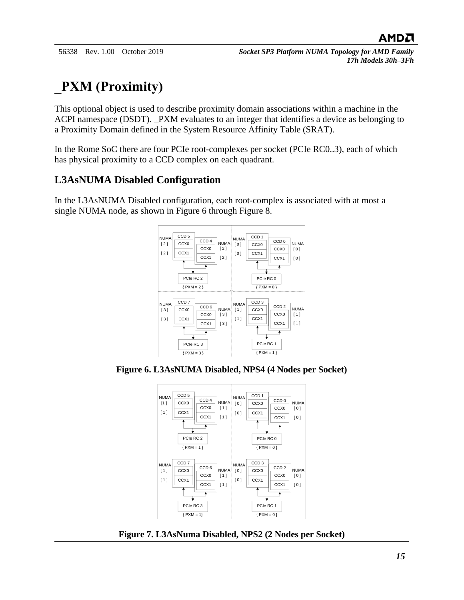# <span id="page-14-0"></span>**\_PXM (Proximity)**

This optional object is used to describe proximity domain associations within a machine in the ACPI namespace (DSDT). \_PXM evaluates to an integer that identifies a device as belonging to a Proximity Domain defined in the System Resource Affinity Table (SRAT).

In the Rome SoC there are four PCIe root-complexes per socket (PCIe RC0..3), each of which has physical proximity to a CCD complex on each quadrant.

#### <span id="page-14-1"></span>**L3AsNUMA Disabled Configuration**

In the L3AsNUMA Disabled configuration, each root-complex is associated with at most a single NUMA node, as shown in Figure 6 through Figure 8.



<span id="page-14-2"></span>**Figure 6. L3AsNUMA Disabled, NPS4 (4 Nodes per Socket)**



<span id="page-14-3"></span>**Figure 7. L3AsNuma Disabled, NPS2 (2 Nodes per Socket)**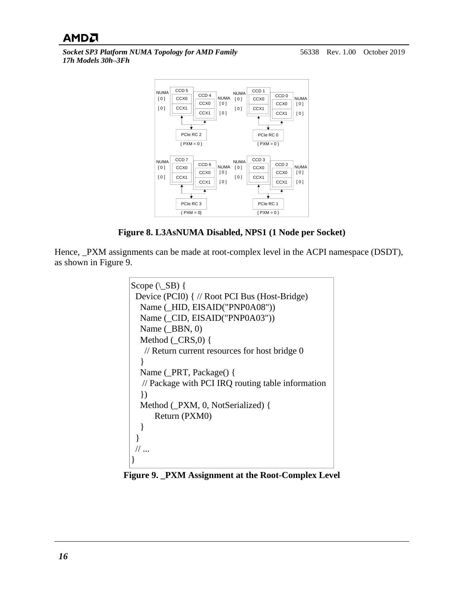*Socket SP3 Platform NUMA Topology for AMD Family 17h Models 30h–3Fh*



**Figure 8. L3AsNUMA Disabled, NPS1 (1 Node per Socket)**

<span id="page-15-0"></span>Hence, \_PXM assignments can be made at root-complex level in the ACPI namespace (DSDT), as shown in Figure 9.

```
Scope (\angleSB) {
 Device (PCI0) { // Root PCI Bus (Host-Bridge) Name (_HID, EISAID("PNP0A08")) Name (_CID, EISAID("PNP0A03")) Name (\DeltaBBN, 0)
  Method (_CRS,0) {
   // Return current resources for host bridge 0 }
  Name (_PRT, Package() { // Package with PCI IRQ routing table information })
  Method (_PXM, 0, NotSerialized) { Return (PXM0) }
 }
// ... }
```
<span id="page-15-1"></span>**Figure 9. \_PXM Assignment at the Root-Complex Level**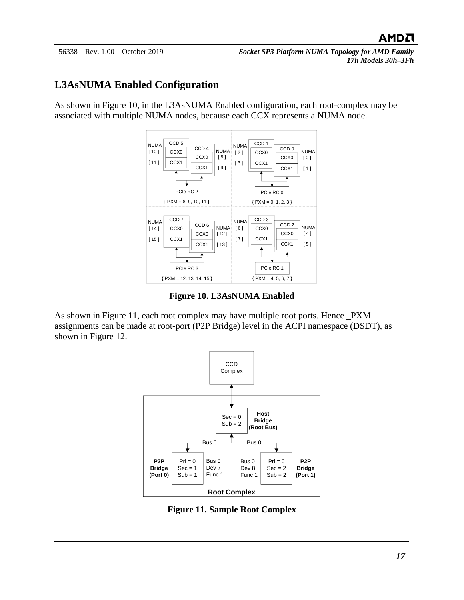#### <span id="page-16-0"></span>**L3AsNUMA Enabled Configuration**

As shown in Figure 10, in the L3AsNUMA Enabled configuration, each root-complex may be associated with multiple NUMA nodes, because each CCX represents a NUMA node.



**Figure 10. L3AsNUMA Enabled**

<span id="page-16-1"></span>As shown in Figure 11, each root complex may have multiple root ports. Hence \_PXM assignments can be made at root-port (P2P Bridge) level in the ACPI namespace (DSDT), as shown in Figure 12.



<span id="page-16-2"></span>**Figure 11. Sample Root Complex**